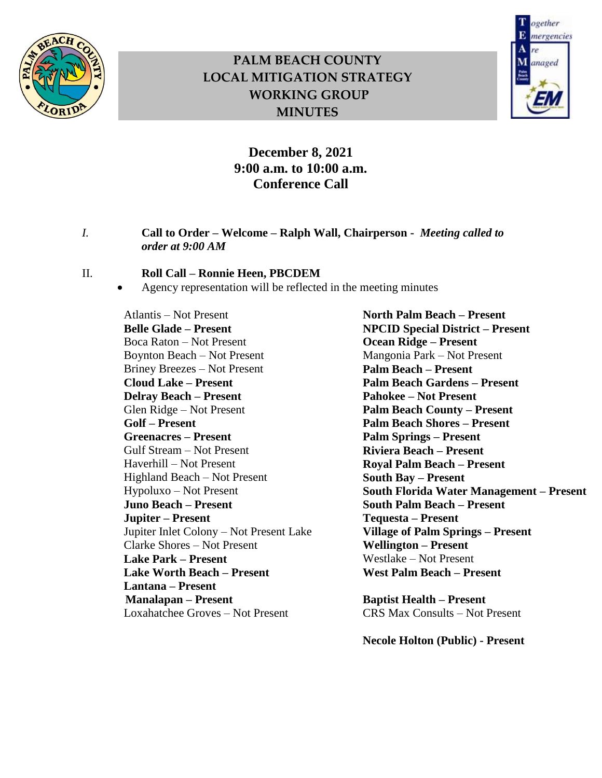

# **PALM BEACH COUNTY LOCAL MITIGATION STRATEGY WORKING GROUP MINUTES**



### **December 8, 2021 9:00 a.m. to 10:00 a.m. Conference Call**

#### *I.* **Call to Order – Welcome – Ralph Wall, Chairperson -** *Meeting called to order at 9:00 AM*

#### II. **Roll Call – Ronnie Heen, PBCDEM**

Agency representation will be reflected in the meeting minutes

Atlantis – Not Present **Belle Glade – Present**  Boca Raton – Not Present Boynton Beach – Not Present Briney Breezes – Not Present **Cloud Lake – Present Delray Beach – Present**  Glen Ridge – Not Present **Golf – Present Greenacres – Present**  Gulf Stream – Not Present Haverhill – Not Present Highland Beach – Not Present Hypoluxo – Not Present **Juno Beach – Present Jupiter – Present**  Jupiter Inlet Colony – Not Present Lake Clarke Shores – Not Present **Lake Park – Present Lake Worth Beach – Present Lantana – Present Manalapan – Present**  Loxahatchee Groves – Not Present

**North Palm Beach – Present NPCID Special District – Present Ocean Ridge – Present**  Mangonia Park – Not Present **Palm Beach – Present Palm Beach Gardens – Present Pahokee – Not Present Palm Beach County – Present Palm Beach Shores – Present Palm Springs – Present Riviera Beach – Present Royal Palm Beach – Present South Bay – Present South Florida Water Management – Present South Palm Beach – Present Tequesta – Present Village of Palm Springs – Present Wellington – Present**  Westlake – Not Present **West Palm Beach – Present** 

**Baptist Health – Present**  CRS Max Consults – Not Present

 **Necole Holton (Public) - Present**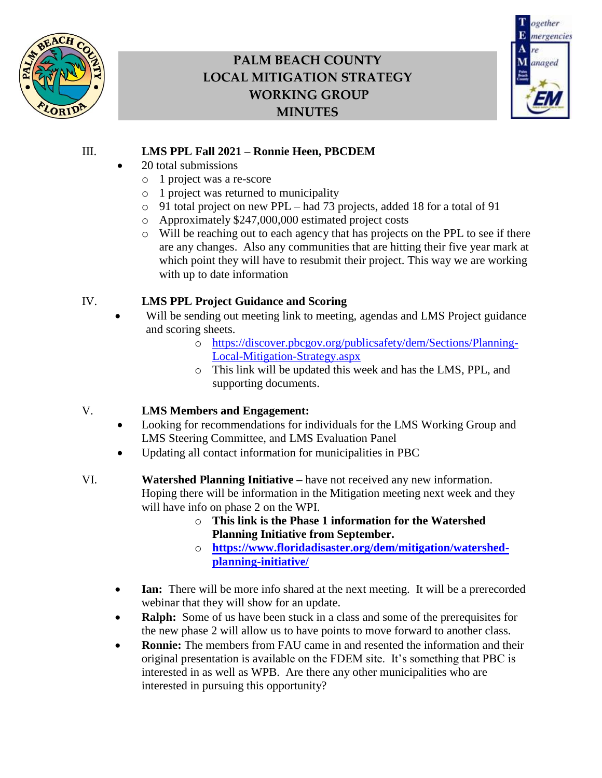

# **PALM BEACH COUNTY LOCAL MITIGATION STRATEGY WORKING GROUP MINUTES**



### III. **LMS PPL Fall 2021 – Ronnie Heen, PBCDEM**

- 20 total submissions
	- o 1 project was a re-score
	- o 1 project was returned to municipality
	- o 91 total project on new PPL had 73 projects, added 18 for a total of 91
	- o Approximately \$247,000,000 estimated project costs
	- o Will be reaching out to each agency that has projects on the PPL to see if there are any changes. Also any communities that are hitting their five year mark at which point they will have to resubmit their project. This way we are working with up to date information

### IV. **LMS PPL Project Guidance and Scoring**

- Will be sending out meeting link to meeting, agendas and LMS Project guidance and scoring sheets.
	- o [https://discover.pbcgov.org/publicsafety/dem/Sections/Planning-](https://discover.pbcgov.org/publicsafety/dem/Sections/Planning-Local-Mitigation-Strategy.aspx)[Local-Mitigation-Strategy.aspx](https://discover.pbcgov.org/publicsafety/dem/Sections/Planning-Local-Mitigation-Strategy.aspx)
	- o This link will be updated this week and has the LMS, PPL, and supporting documents.

### V. **LMS Members and Engagement:**

- Looking for recommendations for individuals for the LMS Working Group and LMS Steering Committee, and LMS Evaluation Panel
- Updating all contact information for municipalities in PBC
- VI. **Watershed Planning Initiative –** have not received any new information. Hoping there will be information in the Mitigation meeting next week and they will have info on phase 2 on the WPI.
	- o **This link is the Phase 1 information for the Watershed Planning Initiative from September.**
	- o **[https://www.floridadisaster.org/dem/mitigation/watershed](https://www.floridadisaster.org/dem/mitigation/watershed-planning-initiative/)[planning-initiative/](https://www.floridadisaster.org/dem/mitigation/watershed-planning-initiative/)**
	- **Ian:** There will be more info shared at the next meeting. It will be a prerecorded webinar that they will show for an update.
	- **Ralph:** Some of us have been stuck in a class and some of the prerequisites for the new phase 2 will allow us to have points to move forward to another class.
	- **Ronnie:** The members from FAU came in and resented the information and their original presentation is available on the FDEM site. It's something that PBC is interested in as well as WPB. Are there any other municipalities who are interested in pursuing this opportunity?